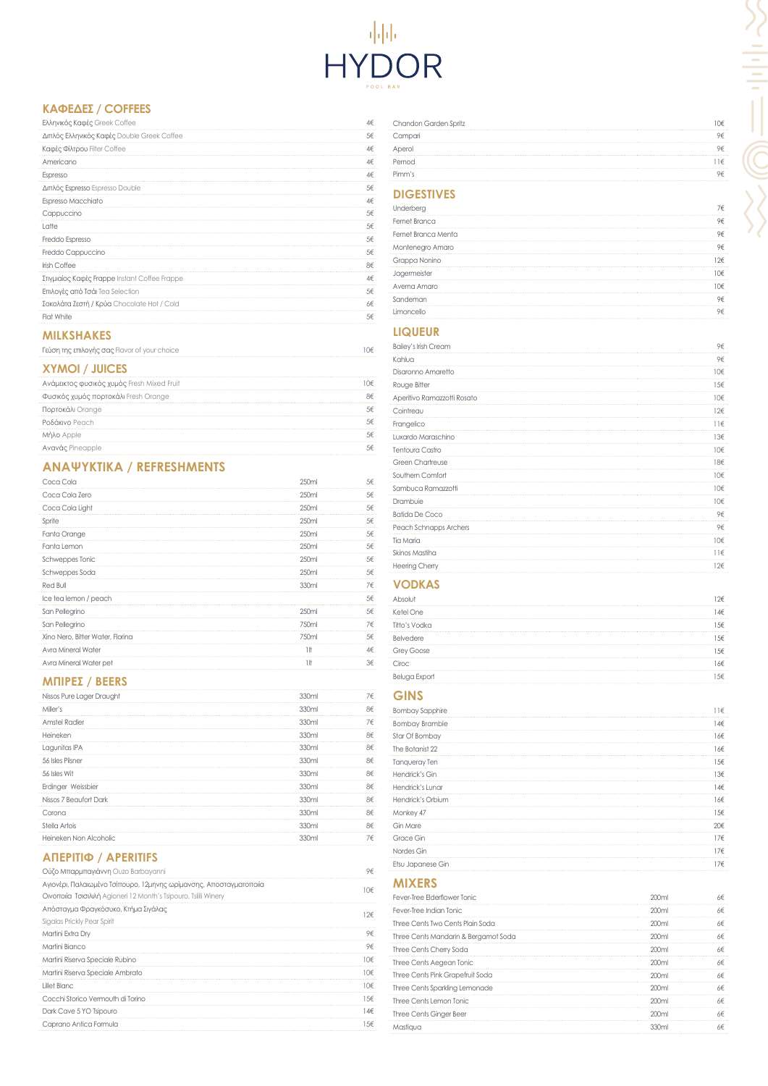# HYDOR

# **ΚΑΦΈΔ ΕΣ / COFFEES**

| Ελληνικός Καφές Greek Coffee                  | 4€ |
|-----------------------------------------------|----|
| Διπλός Ελληνικός Καφές Double Greek Coffee    | 5€ |
| Καφές Φίλτρου Filter Coffee                   | 4€ |
| Americano                                     | 4€ |
| Espresso                                      | 4€ |
| Διπλός Espresso Espresso Double               | 5€ |
| Espresso Macchiato                            | 4€ |
| Cappuccino                                    | 5€ |
| Latte                                         | 5€ |
| Freddo Espresso                               | 5€ |
| Freddo Cappuccino                             | 5€ |
| <b>Irish Coffee</b>                           | 8€ |
| Στιγμιαίος Καφές Frappe Instant Coffee Frappe | 4€ |
| Επιλογές από Τσάι Tea Selection               | 5€ |
| Σοκολάτα Ζεστή / Κρύα Chocolate Hot / Cold    | 6€ |
| Flat White                                    | 5€ |
|                                               |    |

#### **MILKSHAKES**

| Γεύση της επιλογής σας Flavor of your choice |  |
|----------------------------------------------|--|
|                                              |  |

# **ΧΥΜΟΊ / JUICES**

| Ανάμεικτος φυσικός χυμός Fresh Mixed Fruit | ()∈ |
|--------------------------------------------|-----|
| Φυσικός χυμός πορτοκάλι Fresh Orange       |     |
| Πορτοκάλι Orange                           |     |
| Ροδάκινο Peach                             |     |
| Μήλο Apple                                 |     |
| Ανανάς Pineapple                           |     |

# **ΑΝΑΨΥΚΤ Ι Κ Ά / REFRESHMENTS**

| Coca Cola                        | 250ml             | 5€ |
|----------------------------------|-------------------|----|
| Coca Cola Zero                   | 250ml             | 5€ |
| Coca Cola Light                  | 250 <sub>ml</sub> | 5€ |
| Sprite                           | 250ml             | 5€ |
| Fanta Orange                     | 250 <sub>ml</sub> | 5€ |
| Fanta Lemon                      | 250 <sub>ml</sub> | 5€ |
| Schweppes Tonic                  | 250ml             | 5€ |
| Schweppes Soda                   | 250 <sub>ml</sub> | 5€ |
| Red Bull                         | 330ml             | 7€ |
| Ice tea lemon / peach            |                   | 5€ |
| San Pellegrino                   | 250ml             | 5€ |
| San Pellegrino                   | 750ml             | 7€ |
| Xino Nero, Bitter Water, Florina | 750ml             | 5€ |
| Avra Mineral Water               | 1!f               | 4€ |
| Avra Mineral Water pet           | 1It               | 3€ |
|                                  |                   |    |

## **ΜΠΊΡ ΕΣ / BEERS**

|                                                                                                          |       | 7€              |
|----------------------------------------------------------------------------------------------------------|-------|-----------------|
| Nissos Pure Lager Draught                                                                                | 330ml |                 |
| Miller's                                                                                                 | 330ml | 8€              |
| <b>Amstel Radler</b>                                                                                     | 330ml | 7€              |
| Heineken                                                                                                 | 330ml | 8€              |
| Lagunitas IPA                                                                                            | 330ml | 8€              |
| 56 Isles Pilsner                                                                                         | 330ml | 8€              |
| 56 Isles Wit                                                                                             | 330ml | 8€              |
| Erdinger Weissbier                                                                                       | 330ml | 8€              |
| Nissos 7 Beaufort Dark                                                                                   | 330ml | 8€              |
| Corona                                                                                                   | 330ml | 8€              |
| Stella Artois                                                                                            | 330ml | 8€              |
| Heineken Non Alcoholic                                                                                   | 330ml | 7€              |
| Ούζο Μπαρμπαγιάννη Ouzo Barbayanni<br>Αγιονέρι, Παλαιωμένο Τσίπουρο, 12μηνης ωρίμανσης, Αποσταγματοποιία |       | 9€              |
|                                                                                                          |       | 10€             |
| Οινοποιία Τσισιλιλή Agioneri 12 Month's Tsipouro, Tsilili Winery                                         |       |                 |
| Απόσταγμα Φραγκόσυκο, Κτήμα Σιγάλας                                                                      |       | $12 \epsilon$   |
| Sigalas Prickly Pear Spirit                                                                              |       |                 |
| Martini Extra Dry                                                                                        |       | 9€              |
| Martini Bianco                                                                                           |       | 9€              |
| Martini Riserva Speciale Rubino                                                                          |       | 10€             |
| Martini Riserva Speciale Ambrato                                                                         |       | 10€             |
| Lillet Blanc                                                                                             |       | 10 <sup>€</sup> |
| Cocchi Storico Vermouth di Torino                                                                        |       | 15<             |
| Dark Cave 5 YO Tsipouro                                                                                  |       | 14€             |
| Caprano Antica Formula                                                                                   |       | 156             |
|                                                                                                          |       |                 |

Three Cents Cherry Soda 200ml 6€ Three Cents Aegean Tonic and the Cents Aegean Tonic and the Cents Aegean Tonic and the Cents Aegean Tonic and the Cents Aegean Tonic and the Cents Aegean Tonic and the Cents Aegean Tonic and the Cents Aegean Tonic and the Three Cents Pink Grapefruit Soda  $66$ Three Cents Sparkling Lemonade  $66$ Three Cents Lemon Tonic  $6\in$ Three Cents Ginger Beer 200ml 6€ Mastiqua 330ml 6€

| Chandon Garden Spritz |  |
|-----------------------|--|
|                       |  |
|                       |  |
| $m \cap C$            |  |
| Pimm's                |  |

# **DIGESTIVES**

| Underberg            | ∕€ |
|----------------------|----|
| <b>Fernet Branca</b> | 9€ |
| Fernet Branca Menta  | 9€ |
| Montenegro Amaro     | 9€ |
| Grappa Nonino        | 7€ |
| Jagermeister         | ∩€ |
| Averna Amaro         | ∩€ |
| Sandeman             | 9€ |
| Limoncello           | 9€ |

# **LIQUEUR**

| <b>Bailey's Irish Cream</b> | 9€              |
|-----------------------------|-----------------|
| Kahlua                      | 9€              |
| Disaronno Amaretto          | 10€             |
| Rouge Bitter                | 15€             |
| Aperitivo Ramazzotti Rosato | 10 <sup>€</sup> |
| Cointreau                   | 12€             |
| Frangelico                  | $11 \in$        |
| Luxardo Maraschino          | 13€             |
| Tentoura Castro             | 10€             |
| <b>Green Chartreuse</b>     | 18€             |
| Southern Comfort            | 10€             |
| Sambuca Ramazzotti          | 10€             |
| Drambuie                    | 10€             |
| <b>Batida De Coco</b>       | 9€              |
| Peach Schnapps Archers      | 9€              |
| Tia Maria                   | 10€             |
| Skinos Mastiha              | $11 \in$        |
| <b>Heering Cherry</b>       | 12€             |

# **VODKAS**

| Abso              | 2€   |
|-------------------|------|
| Ketel One         | 4€   |
| Titto's Vodka     | 5€   |
| Belvedere         | 5€   |
| <b>Grey Goose</b> | 5€   |
| Ciroc             | . 6€ |
| Beluga Expor      | 5€   |

# **GINS**

| .                                    |       |              |
|--------------------------------------|-------|--------------|
| <b>Bombay Sapphire</b>               |       | $11 \in$     |
| <b>Bombay Bramble</b>                |       | 146          |
| Star Of Bombay                       |       | 166          |
| The Botanist 22                      |       | 166          |
| Tanqueray Ten                        |       | $15\epsilon$ |
| Hendrick's Gin                       |       | 136          |
| Hendrick's Lunar                     |       | 146          |
| Hendrick's Orbium                    |       | 166          |
| Monkey 47                            |       | $15\epsilon$ |
| Gin Mare                             |       | 20€          |
| Grace Gin                            |       | 176          |
| Nordes Gin                           |       | 176          |
| Etsu Japanese Gin                    |       | $17\epsilon$ |
| <b>MIXERS</b>                        |       |              |
| Fever-Tree Elderflower Tonic         | 200ml | 6€           |
| Fever-Tree Indian Tonic              | 200ml | 6€           |
| Three Cents Two Cents Plain Soda     | 200ml | 6€           |
| Three Cents Mandarin & Bergamot Soda | 200ml | 6€           |